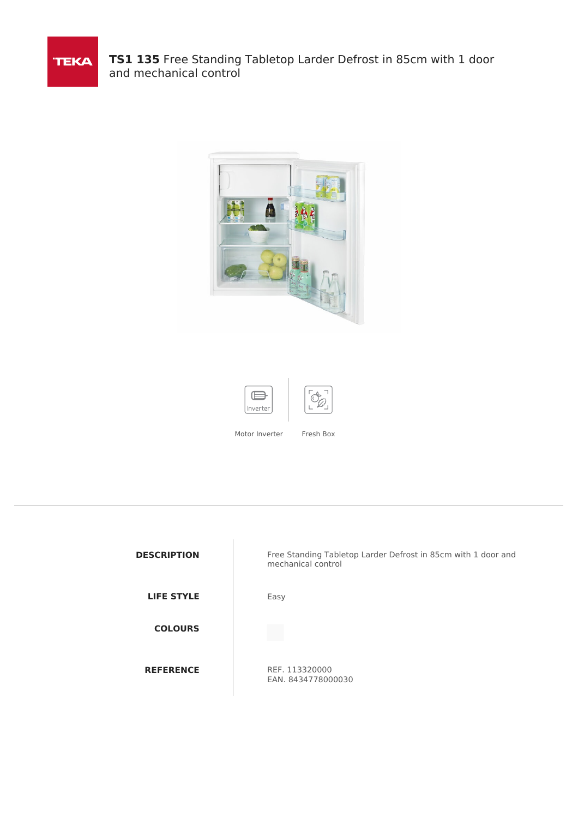

**TS1 135** Free Standing Tabletop Larder Defrost in 85cm with 1 door and mechanical control







Motor Inverter Fresh Box

| <b>DESCRIPTION</b> | Free Standing Tabletop Larder Defrost in 85cm with 1 door and<br>mechanical control |
|--------------------|-------------------------------------------------------------------------------------|
| <b>LIFE STYLE</b>  | Easy                                                                                |
| <b>COLOURS</b>     |                                                                                     |
| <b>REFERENCE</b>   | REF. 113320000<br>EAN. 8434778000030                                                |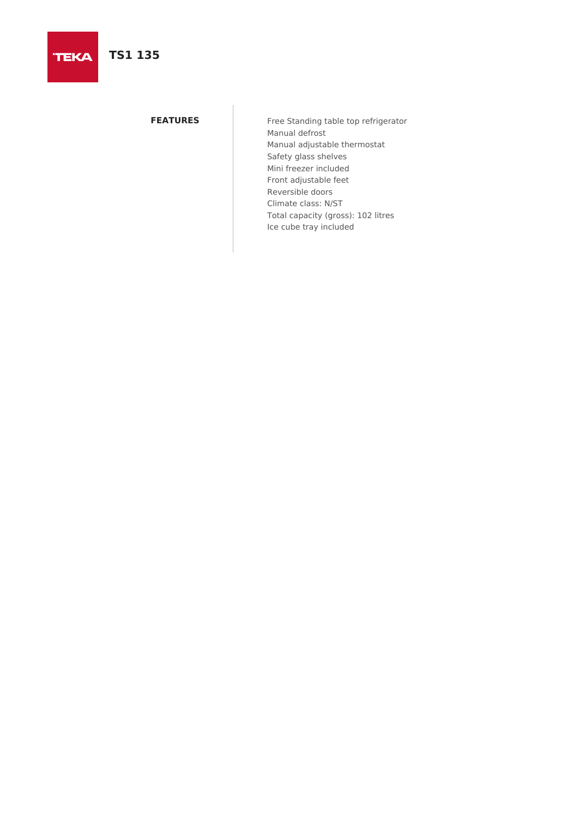# **TS1 135**

**FEATURES** Free Standing table top refrigerator Manual defrost Manual adjustable thermostat Safety glass shelves Mini freezer included Front adjustable feet Reversible doors Climate class: N/ST Total capacity (gross): 102 litres Ice cube tray included

# **TEKA**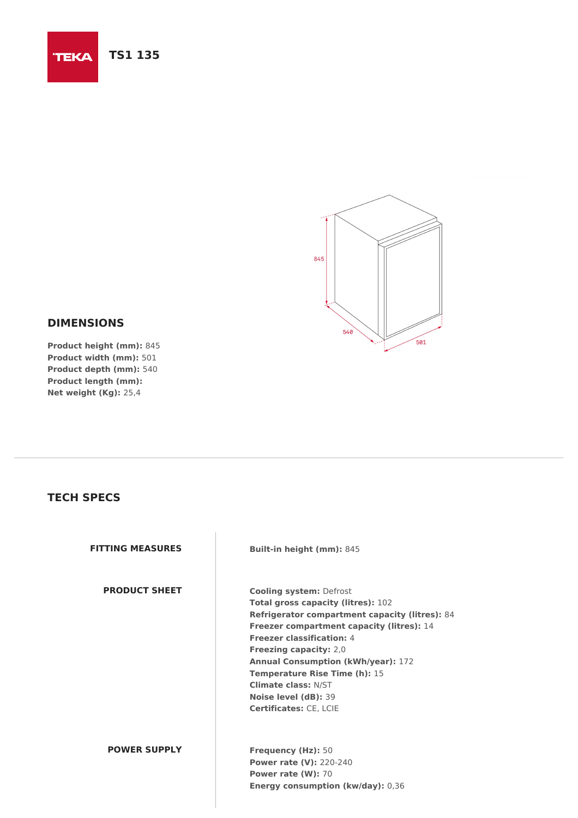#### **TS1 135 TEKA**



## **DIMENSIONS**

**Product height (mm):** 845 **Product width (mm):** 501 **Product depth (mm):** 540 **Product length (mm): Net weight (Kg):** 25,4

## **TECH SPECS**

| <b>FITTING MEASURES</b> | <b>Built-in height (mm): 845</b>                                                                                                                                                                                                                                                                                                                                                                                                   |
|-------------------------|------------------------------------------------------------------------------------------------------------------------------------------------------------------------------------------------------------------------------------------------------------------------------------------------------------------------------------------------------------------------------------------------------------------------------------|
| <b>PRODUCT SHEET</b>    | <b>Cooling system: Defrost</b><br><b>Total gross capacity (litres): 102</b><br><b>Refrigerator compartment capacity (litres): 84</b><br>Freezer compartment capacity (litres): 14<br><b>Freezer classification: 4</b><br><b>Freezing capacity: 2,0</b><br><b>Annual Consumption (kWh/year): 172</b><br><b>Temperature Rise Time (h): 15</b><br><b>Climate class: N/ST</b><br>Noise level (dB): 39<br><b>Certificates: CE, LCIE</b> |
| <b>POWER SUPPLY</b>     | <b>Frequency (Hz): 50</b><br><b>Power rate (V): 220-240</b><br><b>Power rate (W): 70</b><br><b>Energy consumption (kw/day): 0,36</b>                                                                                                                                                                                                                                                                                               |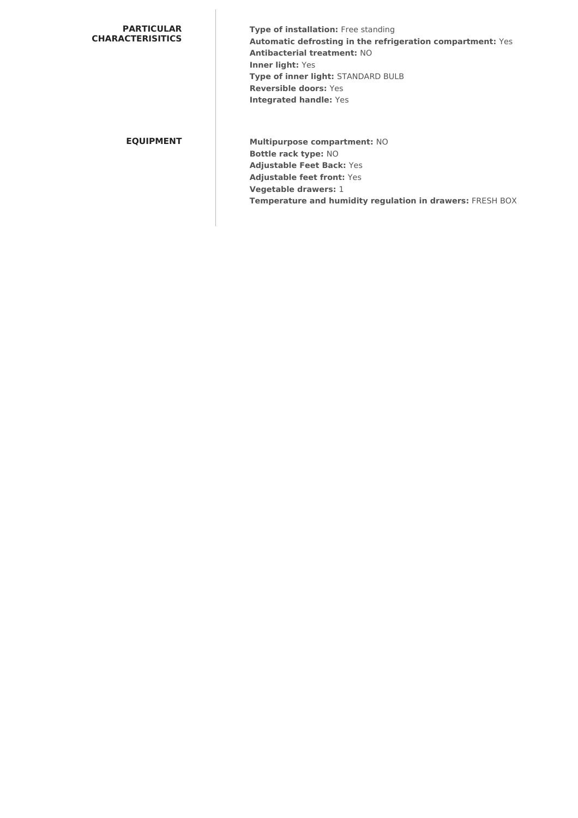### **PARTICULAR CHARACTERISITICS**

**Type of installation:** Free standing **Automatic defrosting in the refrigeration compartment:** Yes **Antibacterial treatment:** NO **Inner light:** Yes **Type of inner light:** STANDARD BULB **Reversible doors:** Yes **Integrated handle:** Yes

**EQUIPMENT Multipurpose compartment:** NO **Bottle rack type:** NO **Adjustable Feet Back:** Yes **Adjustable feet front:** Yes **Vegetable drawers:** 1 **Temperature and humidity regulation in drawers:** FRESH BOX